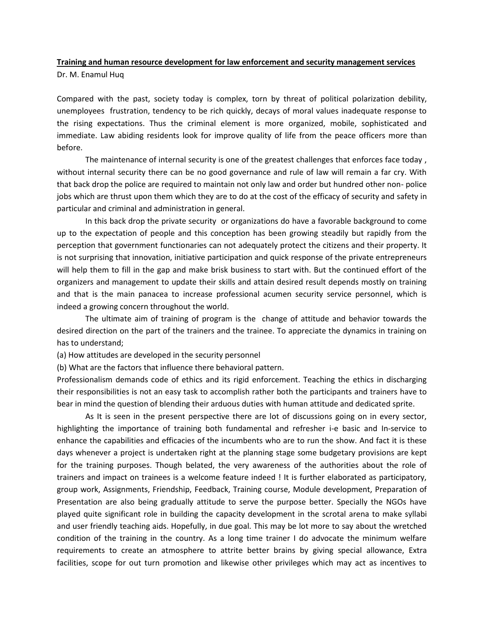## **Training and human resource development for law enforcement and security management services** Dr. M. Enamul Huq

Compared with the past, society today is complex, torn by threat of political polarization debility, unemployees frustration, tendency to be rich quickly, decays of moral values inadequate response to the rising expectations. Thus the criminal element is more organized, mobile, sophisticated and immediate. Law abiding residents look for improve quality of life from the peace officers more than before.

The maintenance of internal security is one of the greatest challenges that enforces face today , without internal security there can be no good governance and rule of law will remain a far cry. With that back drop the police are required to maintain not only law and order but hundred other non- police jobs which are thrust upon them which they are to do at the cost of the efficacy of security and safety in particular and criminal and administration in general.

In this back drop the private security or organizations do have a favorable background to come up to the expectation of people and this conception has been growing steadily but rapidly from the perception that government functionaries can not adequately protect the citizens and their property. It is not surprising that innovation, initiative participation and quick response of the private entrepreneurs will help them to fill in the gap and make brisk business to start with. But the continued effort of the organizers and management to update their skills and attain desired result depends mostly on training and that is the main panacea to increase professional acumen security service personnel, which is indeed a growing concern throughout the world.

The ultimate aim of training of program is the change of attitude and behavior towards the desired direction on the part of the trainers and the trainee. To appreciate the dynamics in training on has to understand;

(a) How attitudes are developed in the security personnel

(b) What are the factors that influence there behavioral pattern.

Professionalism demands code of ethics and its rigid enforcement. Teaching the ethics in discharging their responsibilities is not an easy task to accomplish rather both the participants and trainers have to bear in mind the question of blending their arduous duties with human attitude and dedicated sprite.

As It is seen in the present perspective there are lot of discussions going on in every sector, highlighting the importance of training both fundamental and refresher i-e basic and In-service to enhance the capabilities and efficacies of the incumbents who are to run the show. And fact it is these days whenever a project is undertaken right at the planning stage some budgetary provisions are kept for the training purposes. Though belated, the very awareness of the authorities about the role of trainers and impact on trainees is a welcome feature indeed ! It is further elaborated as participatory, group work, Assignments, Friendship, Feedback, Training course, Module development, Preparation of Presentation are also being gradually attitude to serve the purpose better. Specially the NGOs have played quite significant role in building the capacity development in the scrotal arena to make syllabi and user friendly teaching aids. Hopefully, in due goal. This may be lot more to say about the wretched condition of the training in the country. As a long time trainer I do advocate the minimum welfare requirements to create an atmosphere to attrite better brains by giving special allowance, Extra facilities, scope for out turn promotion and likewise other privileges which may act as incentives to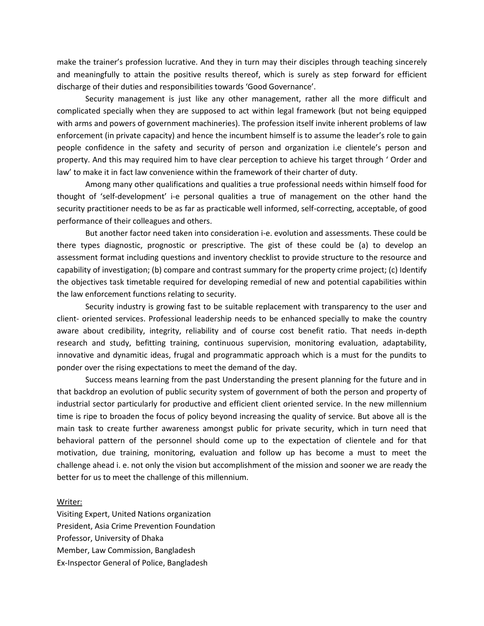make the trainer's profession lucrative. And they in turn may their disciples through teaching sincerely and meaningfully to attain the positive results thereof, which is surely as step forward for efficient discharge of their duties and responsibilities towards 'Good Governance'.

Security management is just like any other management, rather all the more difficult and complicated specially when they are supposed to act within legal framework (but not being equipped with arms and powers of government machineries). The profession itself invite inherent problems of law enforcement (in private capacity) and hence the incumbent himself is to assume the leader's role to gain people confidence in the safety and security of person and organization i.e clientele's person and property. And this may required him to have clear perception to achieve his target through ' Order and law' to make it in fact law convenience within the framework of their charter of duty.

Among many other qualifications and qualities a true professional needs within himself food for thought of 'self-development' i-e personal qualities a true of management on the other hand the security practitioner needs to be as far as practicable well informed, self-correcting, acceptable, of good performance of their colleagues and others.

But another factor need taken into consideration i-e. evolution and assessments. These could be there types diagnostic, prognostic or prescriptive. The gist of these could be (a) to develop an assessment format including questions and inventory checklist to provide structure to the resource and capability of investigation; (b) compare and contrast summary for the property crime project; (c) Identify the objectives task timetable required for developing remedial of new and potential capabilities within the law enforcement functions relating to security.

Security industry is growing fast to be suitable replacement with transparency to the user and client- oriented services. Professional leadership needs to be enhanced specially to make the country aware about credibility, integrity, reliability and of course cost benefit ratio. That needs in-depth research and study, befitting training, continuous supervision, monitoring evaluation, adaptability, innovative and dynamitic ideas, frugal and programmatic approach which is a must for the pundits to ponder over the rising expectations to meet the demand of the day.

Success means learning from the past Understanding the present planning for the future and in that backdrop an evolution of public security system of government of both the person and property of industrial sector particularly for productive and efficient client oriented service. In the new millennium time is ripe to broaden the focus of policy beyond increasing the quality of service. But above all is the main task to create further awareness amongst public for private security, which in turn need that behavioral pattern of the personnel should come up to the expectation of clientele and for that motivation, due training, monitoring, evaluation and follow up has become a must to meet the challenge ahead i. e. not only the vision but accomplishment of the mission and sooner we are ready the better for us to meet the challenge of this millennium.

## Writer:

Visiting Expert, United Nations organization President, Asia Crime Prevention Foundation Professor, University of Dhaka Member, Law Commission, Bangladesh Ex-Inspector General of Police, Bangladesh